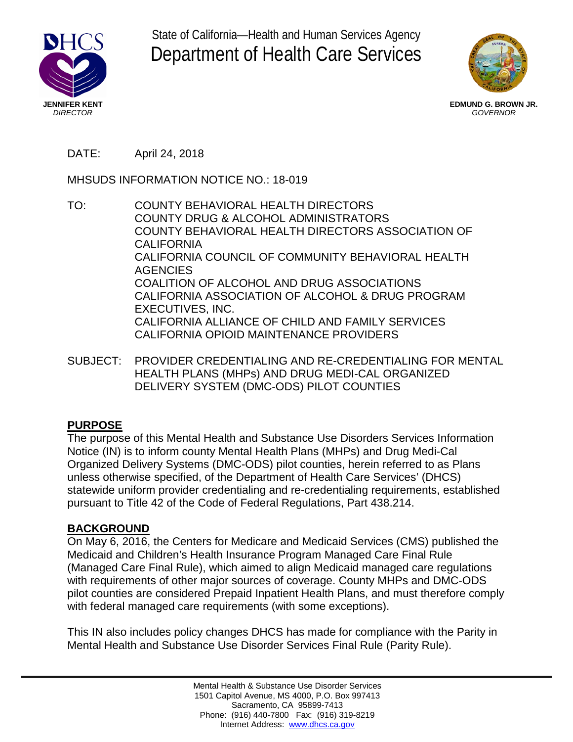





**EDMUND G. BROWN JR.**  *GOVERNOR* 

# DATE: April 24, 2018

MHSUDS INFORMATION NOTICE NO.: 18-019

- TO: COUNTY BEHAVIORAL HEALTH DIRECTORS COUNTY DRUG & ALCOHOL ADMINISTRATORS COUNTY BEHAVIORAL HEALTH DIRECTORS ASSOCIATION OF CALIFORNIA CALIFORNIA COUNCIL OF COMMUNITY BEHAVIORAL HEALTH AGENCIES COALITION OF ALCOHOL AND DRUG ASSOCIATIONS CALIFORNIA ASSOCIATION OF ALCOHOL & DRUG PROGRAM EXECUTIVES, INC. CALIFORNIA ALLIANCE OF CHILD AND FAMILY SERVICES CALIFORNIA OPIOID MAINTENANCE PROVIDERS
- SUBJECT: PROVIDER CREDENTIALING AND RE-CREDENTIALING FOR MENTAL HEALTH PLANS (MHPs) AND DRUG MEDI-CAL ORGANIZED DELIVERY SYSTEM (DMC-ODS) PILOT COUNTIES

## **PURPOSE**

The purpose of this Mental Health and Substance Use Disorders Services Information Notice (IN) is to inform county Mental Health Plans (MHPs) and Drug Medi-Cal Organized Delivery Systems (DMC-ODS) pilot counties, herein referred to as Plans unless otherwise specified, of the Department of Health Care Services' (DHCS) statewide uniform provider credentialing and re-credentialing requirements, established pursuant to Title 42 of the Code of Federal Regulations, Part 438.214.

## **BACKGROUND**

On May 6, 2016, the Centers for Medicare and Medicaid Services (CMS) published the Medicaid and Children's Health Insurance Program Managed Care Final Rule (Managed Care Final Rule), which aimed to align Medicaid managed care regulations with requirements of other major sources of coverage. County MHPs and DMC-ODS pilot counties are considered Prepaid Inpatient Health Plans, and must therefore comply with federal managed care requirements (with some exceptions).

This IN also includes policy changes DHCS has made for compliance with the Parity in Mental Health and Substance Use Disorder Services Final Rule (Parity Rule).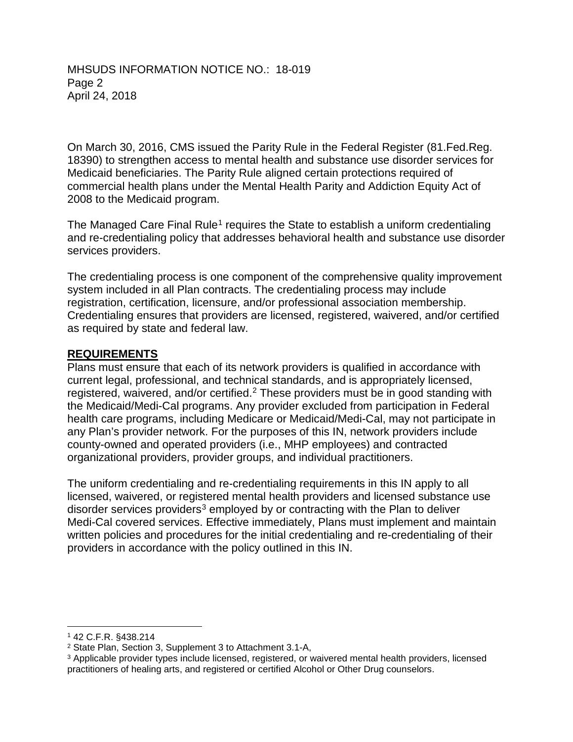#### MHSUDS INFORMATION NOTICE NO.: 18-019 Page 2 April 24, 2018

On March 30, 2016, CMS issued the Parity Rule in the Federal Register (81.Fed.Reg. 18390) to strengthen access to mental health and substance use disorder services for Medicaid beneficiaries. The Parity Rule aligned certain protections required of commercial health plans under the Mental Health Parity and Addiction Equity Act of 2008 to the Medicaid program.

The Managed Care Final Rule<sup>1</sup> requires the State to establish a uniform credentialing and re-credentialing policy that addresses behavioral health and substance use disorder services providers.

 as required by state and federal law. The credentialing process is one component of the comprehensive quality improvement system included in all Plan contracts. The credentialing process may include registration, certification, licensure, and/or professional association membership. Credentialing ensures that providers are licensed, registered, waivered, and/or certified

### **REQUIREMENTS**

Plans must ensure that each of its network providers is qualified in accordance with current legal, professional, and technical standards, and is appropriately licensed, registered, waivered, and/or certified.<sup>2</sup> These providers must be in good standing with the Medicaid/Medi-Cal programs. Any provider excluded from participation in Federal health care programs, including Medicare or Medicaid/Medi-Cal, may not participate in any Plan's provider network. For the purposes of this IN, network providers include county-owned and operated providers (i.e., MHP employees) and contracted organizational providers, provider groups, and individual practitioners.

The uniform credentialing and re-credentialing requirements in this IN apply to all licensed, waivered, or registered mental health providers and licensed substance use disorder services providers<sup>3</sup> employed by or contracting with the Plan to deliver Medi-Cal covered services. Effective immediately, Plans must implement and maintain written policies and procedures for the initial credentialing and re-credentialing of their providers in accordance with the policy outlined in this IN.

<sup>-</sup>1 42 C.F.R. §438.214

<sup>2</sup> State Plan, Section 3, Supplement 3 to Attachment 3.1-A,

<sup>3</sup> Applicable provider types include licensed, registered, or waivered mental health providers, licensed practitioners of healing arts, and registered or certified Alcohol or Other Drug counselors.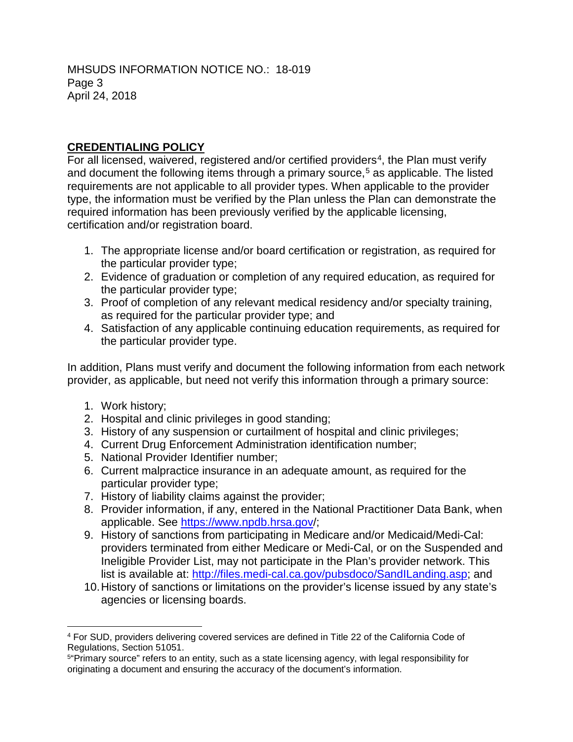# **CREDENTIALING POLICY**

 certification and/or registration board. For all licensed, waivered, registered and/or certified providers<sup>4</sup>, the Plan must verify and document the following items through a primary source, 5 as applicable. The listed requirements are not applicable to all provider types. When applicable to the provider type, the information must be verified by the Plan unless the Plan can demonstrate the required information has been previously verified by the applicable licensing,

- 1. The appropriate license and/or board certification or registration, as required for the particular provider type;
- 2. Evidence of graduation or completion of any required education, as required for the particular provider type;
- 3. Proof of completion of any relevant medical residency and/or specialty training, as required for the particular provider type; and
- 4. Satisfaction of any applicable continuing education requirements, as required for the particular provider type.

In addition, Plans must verify and document the following information from each network provider, as applicable, but need not verify this information through a primary source:

- 1. Work history;
- 2. Hospital and clinic privileges in good standing;
- 3. History of any suspension or curtailment of hospital and clinic privileges;
- 4. Current Drug Enforcement Administration identification number;<br>5. National Provider Identifier number;
- 
- particular provider type; 6. Current malpractice insurance in an adequate amount, as required for the
- 7. History of liability claims against the provider;
- 8. Provider information, if any, entered in the National Practitioner Data Bank, when applicable. See https://www.npdb.hrsa.gov/;
- 9. History of sanctions from participating in Medicare and/or Medicaid/Medi-Cal: providers terminated from either Medicare or Medi-Cal, or on the Suspended and Ineligible Provider List, may not participate in the Plan's provider network. This list is available at[: http://files.medi-cal.ca.gov/pubsdoco/SandILanding.asp; a](http://files.medi-cal.ca.gov/pubsdoco/SandILanding.asp)nd applicable. See https://www.npdb.hrsa.gov/;<br>9. History of sanctions from participating in Medicare and/or Me<br>providers terminated from either Medicare or Medi-Cal, or on<br>lneligible Provider List, may not participate in the
	- agencies or licensing boards. 10.History of sanctions or limitations on the provider's license issued by any state's

<sup>-</sup><sup>4</sup> For SUD, providers delivering covered services are defined in Title 22 of the California Code of Regulations, Section 51051.

originating a document and ensuring the accuracy of the document's information. <sup>5</sup>"Primary source" refers to an entity, such as a state licensing agency, with legal responsibility for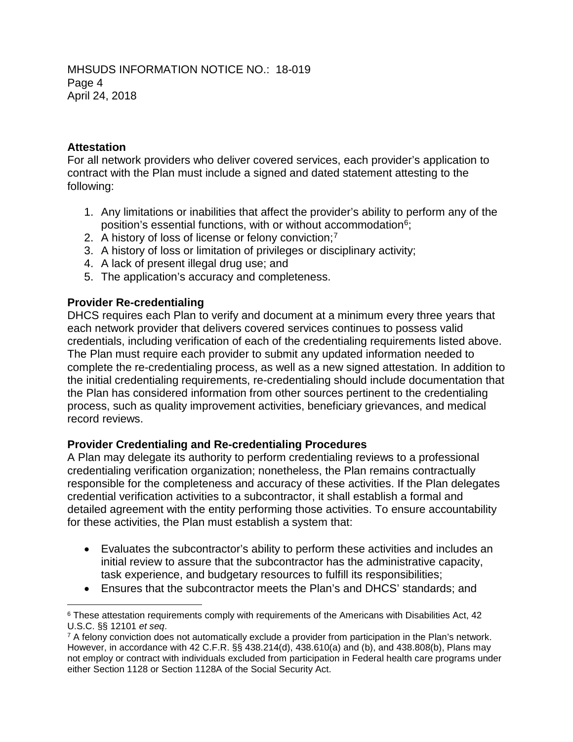## **Attestation**

For all network providers who deliver covered services, each provider's application to contract with the Plan must include a signed and dated statement attesting to the following:

- 1. Any limitations or inabilities that affect the provider's ability to perform any of the position's essential functions, with or without accommodation<sup>6</sup>;
- 2. A history of loss of license or felony conviction;<sup>7</sup>
- 3. A history of loss or limitation of privileges or disciplinary activity;
- 4. A lack of present illegal drug use; and
- 5. The application's accuracy and completeness.

### **Provider Re-credentialing**

DHCS requires each Plan to verify and document at a minimum every three years that each network provider that delivers covered services continues to possess valid credentials, including verification of each of the credentialing requirements listed above. The Plan must require each provider to submit any updated information needed to complete the re-credentialing process, as well as a new signed attestation. In addition to the initial credentialing requirements, re-credentialing should include documentation that the Plan has considered information from other sources pertinent to the credentialing process, such as quality improvement activities, beneficiary grievances, and medical record reviews.

#### **Provider Credentialing and Re-credentialing Procedures**

A Plan may delegate its authority to perform credentialing reviews to a professional credentialing verification organization; nonetheless, the Plan remains contractually responsible for the completeness and accuracy of these activities. If the Plan delegates credential verification activities to a subcontractor, it shall establish a formal and detailed agreement with the entity performing those activities. To ensure accountability for these activities, the Plan must establish a system that:

- Evaluates the subcontractor's ability to perform these activities and includes an initial review to assure that the subcontractor has the administrative capacity, task experience, and budgetary resources to fulfill its responsibilities;
- Ensures that the subcontractor meets the Plan's and DHCS' standards; and

<sup>-</sup><sup>6</sup> These attestation requirements comply with requirements of the Americans with Disabilities Act, 42 U.S.C. §§ 12101 *et seq.*<br>7 A felony conviction does not automatically exclude a provider from participation in the Plan's network.

However, in accordance with 42 C.F.R. §§ 438.214(d), 438.610(a) and (b), and 438.808(b), Plans may not employ or contract with individuals excluded from participation in Federal health care programs under either Section 1128 or Section 1128A of the Social Security Act.